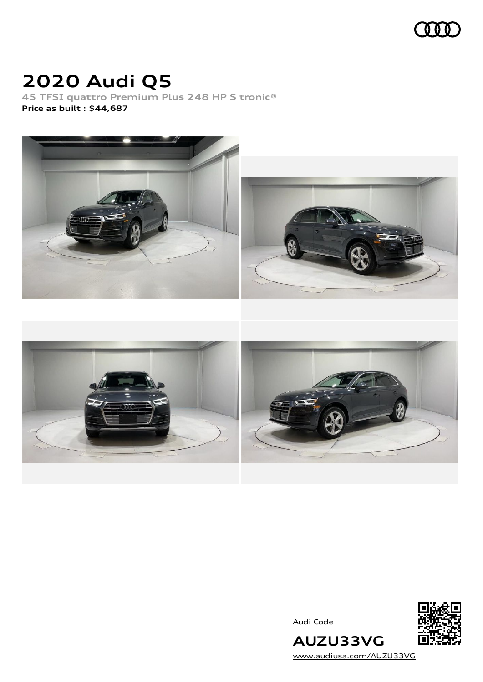

# **2020 Audi Q5**

**45 TFSI quattro Premium Plus 248 HP S tronic® Price as built [:](#page-7-0) \$44,687**



Audi Code



[www.audiusa.com/AUZU33VG](https://www.audiusa.com/AUZU33VG)

**AUZU33VG**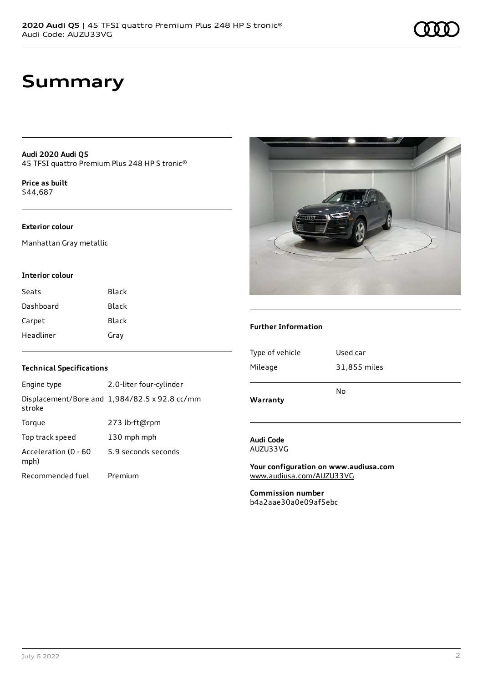# **Summary**

**Audi 2020 Audi Q5** 45 TFSI quattro Premium Plus 248 HP S tronic®

**Price as buil[t](#page-7-0)** \$44,687

## **Exterior colour**

Manhattan Gray metallic

## **Interior colour**

| Seats     | Black |
|-----------|-------|
| Dashboard | Black |
| Carpet    | Black |
| Headliner | Gray  |

## **Technical Specifications**

| Engine type                  | 2.0-liter four-cylinder                       |
|------------------------------|-----------------------------------------------|
| stroke                       | Displacement/Bore and 1,984/82.5 x 92.8 cc/mm |
| Torque                       | 273 lb-ft@rpm                                 |
| Top track speed              | 130 mph mph                                   |
| Acceleration (0 - 60<br>mph) | 5.9 seconds seconds                           |
| Recommended fuel             | Premium                                       |



## **Further Information**

| Warranty        | No           |
|-----------------|--------------|
| Mileage         | 31,855 miles |
| Type of vehicle | Used car     |
|                 |              |

### **Audi Code** AUZU33VG

**Your configuration on www.audiusa.com** [www.audiusa.com/AUZU33VG](https://www.audiusa.com/AUZU33VG)

**Commission number** b4a2aae30a0e09af5ebc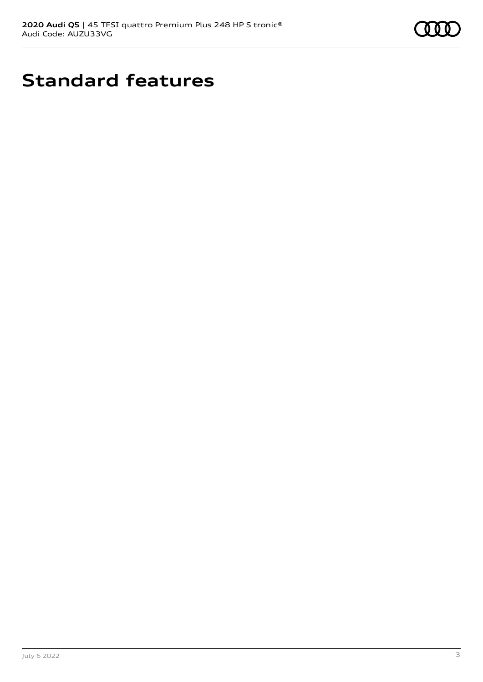

# **Standard features**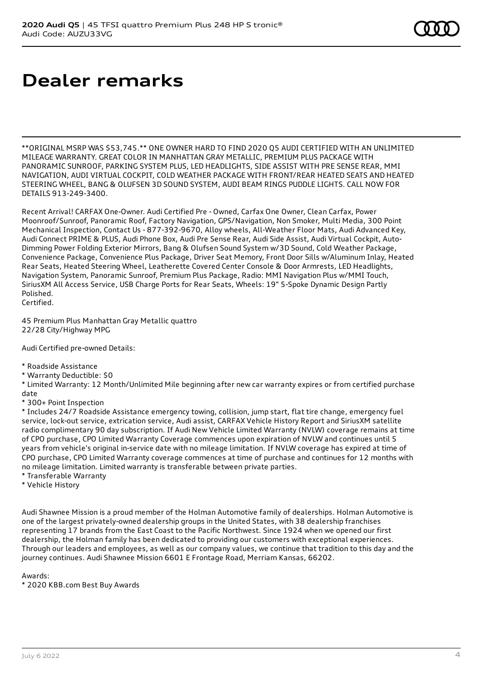# **Dealer remarks**

\*\*ORIGINAL MSRP WAS \$53,745.\*\* ONE OWNER HARD TO FIND 2020 Q5 AUDI CERTIFIED WITH AN UNLIMITED MILEAGE WARRANTY. GREAT COLOR IN MANHATTAN GRAY METALLIC, PREMIUM PLUS PACKAGE WITH PANORAMIC SUNROOF, PARKING SYSTEM PLUS, LED HEADLIGHTS, SIDE ASSIST WITH PRE SENSE REAR, MMI NAVIGATION, AUDI VIRTUAL COCKPIT, COLD WEATHER PACKAGE WITH FRONT/REAR HEATED SEATS AND HEATED STEERING WHEEL, BANG & OLUFSEN 3D SOUND SYSTEM, AUDI BEAM RINGS PUDDLE LIGHTS. CALL NOW FOR DETAILS 913-249-3400.

Recent Arrival! CARFAX One-Owner. Audi Certified Pre - Owned, Carfax One Owner, Clean Carfax, Power Moonroof/Sunroof, Panoramic Roof, Factory Navigation, GPS/Navigation, Non Smoker, Multi Media, 300 Point Mechanical Inspection, Contact Us - 877-392-9670, Alloy wheels, All-Weather Floor Mats, Audi Advanced Key, Audi Connect PRIME & PLUS, Audi Phone Box, Audi Pre Sense Rear, Audi Side Assist, Audi Virtual Cockpit, Auto-Dimming Power Folding Exterior Mirrors, Bang & Olufsen Sound System w/3D Sound, Cold Weather Package, Convenience Package, Convenience Plus Package, Driver Seat Memory, Front Door Sills w/Aluminum Inlay, Heated Rear Seats, Heated Steering Wheel, Leatherette Covered Center Console & Door Armrests, LED Headlights, Navigation System, Panoramic Sunroof, Premium Plus Package, Radio: MMI Navigation Plus w/MMI Touch, SiriusXM All Access Service, USB Charge Ports for Rear Seats, Wheels: 19" 5-Spoke Dynamic Design Partly Polished.

Certified.

45 Premium Plus Manhattan Gray Metallic quattro 22/28 City/Highway MPG

Audi Certified pre-owned Details:

- \* Roadside Assistance
- \* Warranty Deductible: \$0

\* Limited Warranty: 12 Month/Unlimited Mile beginning after new car warranty expires or from certified purchase date

\* 300+ Point Inspection

\* Includes 24/7 Roadside Assistance emergency towing, collision, jump start, flat tire change, emergency fuel service, lock-out service, extrication service, Audi assist, CARFAX Vehicle History Report and SiriusXM satellite radio complimentary 90 day subscription. If Audi New Vehicle Limited Warranty (NVLW) coverage remains at time of CPO purchase, CPO Limited Warranty Coverage commences upon expiration of NVLW and continues until 5 years from vehicle's original in-service date with no mileage limitation. If NVLW coverage has expired at time of CPO purchase, CPO Limited Warranty coverage commences at time of purchase and continues for 12 months with no mileage limitation. Limited warranty is transferable between private parties.

- \* Transferable Warranty
- \* Vehicle History

Audi Shawnee Mission is a proud member of the Holman Automotive family of dealerships. Holman Automotive is one of the largest privately-owned dealership groups in the United States, with 38 dealership franchises representing 17 brands from the East Coast to the Pacific Northwest. Since 1924 when we opened our first dealership, the Holman family has been dedicated to providing our customers with exceptional experiences. Through our leaders and employees, as well as our company values, we continue that tradition to this day and the journey continues. Audi Shawnee Mission 6601 E Frontage Road, Merriam Kansas, 66202.

Awards:

\* 2020 KBB.com Best Buy Awards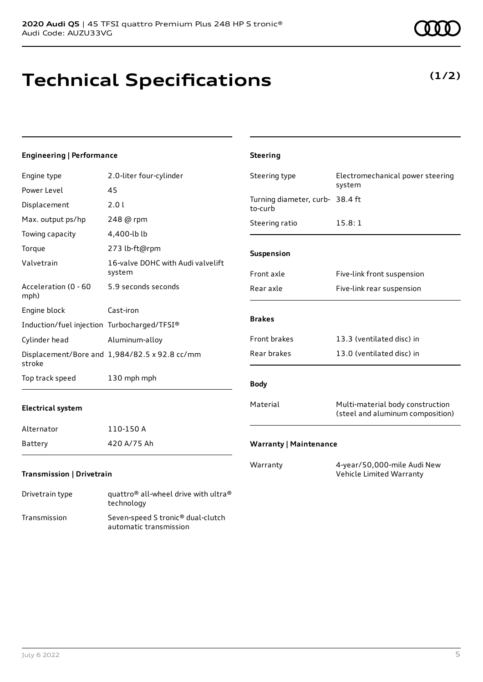**Technical Specifications**

Power Level 45 Displacement 2.0 l

Max. output ps/hp 248 @ rpm

Engine type 2.0-liter four-cylinder

**Engineering | Performance**

| Towing capacity                             | 4,400-lb lb                                   |
|---------------------------------------------|-----------------------------------------------|
| Torque                                      | 273 lb-ft@rpm                                 |
| Valvetrain                                  | 16-valve DOHC with Audi valvelift<br>system   |
| Acceleration (0 - 60<br>mph)                | 5.9 seconds seconds                           |
| Engine block                                | Cast-iron                                     |
| Induction/fuel injection Turbocharged/TFSI® |                                               |
| Cylinder head                               | Aluminum-alloy                                |
| stroke                                      | Displacement/Bore and 1,984/82.5 x 92.8 cc/mm |
| Top track speed                             | 130 mph mph                                   |

## **Electrical system**

| Alternator | 110-150 A   |
|------------|-------------|
| Battery    | 420 A/75 Ah |

# **Transmission | Drivetrain**

| Drivetrain type | quattro <sup>®</sup> all-wheel drive with ultra <sup>®</sup><br>technology |
|-----------------|----------------------------------------------------------------------------|
| Transmission    | Seven-speed S tronic <sup>®</sup> dual-clutch<br>automatic transmission    |

| <b>Steering</b>                            |                                                                      |
|--------------------------------------------|----------------------------------------------------------------------|
| Steering type                              | Electromechanical power steering<br>system                           |
| Turning diameter, curb- 38.4 ft<br>to-curb |                                                                      |
| Steering ratio                             | 15.8:1                                                               |
| Suspension                                 |                                                                      |
| Front axle                                 | Five-link front suspension                                           |
| Rear axle                                  | Five-link rear suspension                                            |
| <b>Brakes</b>                              |                                                                      |
| <b>Front brakes</b>                        | 13.3 (ventilated disc) in                                            |
| Rear brakes                                | 13.0 (ventilated disc) in                                            |
| <b>Body</b>                                |                                                                      |
| Material                                   | Multi-material body construction<br>(steel and aluminum composition) |

Warranty 4-year/50,000-mile Audi New Vehicle Limited Warranty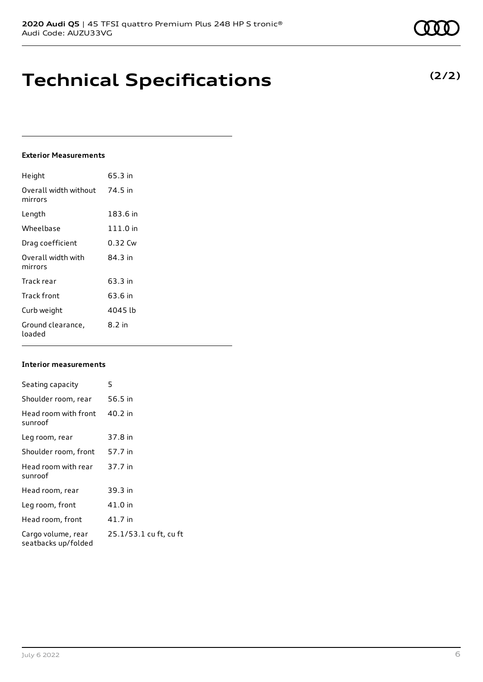# **Technical Specifications**

## **Exterior Measurements**

| Height                           | 65.3 in  |
|----------------------------------|----------|
| Overall width without<br>mirrors | 74.5 in  |
| Length                           | 183.6 in |
| Wheelbase                        | 111.0 in |
| Drag coefficient                 | 0.32 Cw  |
| Overall width with<br>mirrors    | 84.3 in  |
| Track rear                       | 63.3 in  |
| Track front                      | 63.6 in  |
| Curb weight                      | 4045 lb  |
| Ground clearance,<br>loaded      | 8.2 in   |

## **Interior measurements**

| Seating capacity                          | 5                      |
|-------------------------------------------|------------------------|
| Shoulder room, rear                       | 56.5 in                |
| Head room with front<br>sunroof           | 40.2 in                |
| Leg room, rear                            | 37.8 in                |
| Shoulder room, front                      | 57.7 in                |
| Head room with rear<br>sunroof            | 37.7 in                |
| Head room, rear                           | 39.3 in                |
| Leg room, front                           | 41.0 in                |
| Head room, front                          | 41.7 in                |
| Cargo volume, rear<br>seatbacks up/folded | 25.1/53.1 cu ft, cu ft |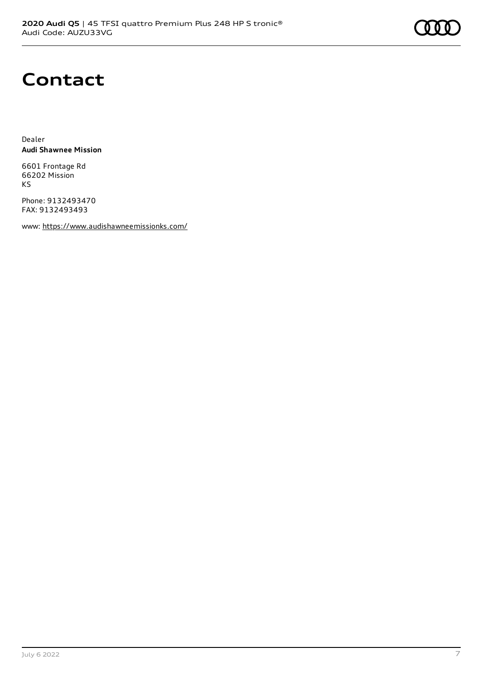# **Contact**

Dealer **Audi Shawnee Mission**

6601 Frontage Rd 66202 Mission KS

Phone: 9132493470 FAX: 9132493493

www: <https://www.audishawneemissionks.com/>